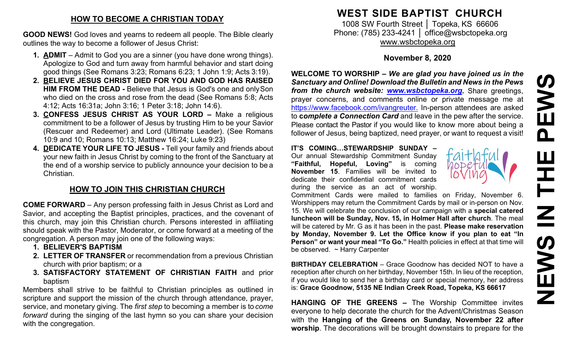# **HOW TO BECOME A CHRISTIAN TODAY**

**GOOD NEWS!** God loves and yearns to redeem all people. The Bible clearly outlines the way to become a follower of Jesus Christ:

- **1. ADMIT**  Admit to God you are a sinner (you have done wrong things). Apologize to God and turn away from harmful behavior and start doing good things (See Romans 3:23; Romans 6:23; 1 John 1:9; Acts 3:19).
- **2. BELIEVE JESUS CHRIST DIED FOR YOU AND GOD HAS RAISED HIM FROM THE DEAD -** Believe that Jesus is God's one and onlySon who died on the cross and rose from the dead (See Romans 5:8; Acts 4:12; Acts 16:31a; John 3:16; 1 Peter 3:18; John 14:6).
- **3. CONFESS JESUS CHRIST AS YOUR LORD –** Make a religious commitment to be a follower of Jesus by trusting Him to be your Savior (Rescuer and Redeemer) and Lord (Ultimate Leader). (See Romans 10:9 and 10; Romans 10:13; Matthew 16:24; Luke 9:23)
- **4. DEDICATE YOUR LIFE TO JESUS -** Tell your family and friends about your new faith in Jesus Christ by coming to the front of the Sanctuary at the end of a worship service to publicly announce your decision to be a Christian.

# **HOW TO JOIN THIS CHRISTIAN CHURCH**

**COME FORWARD** – Any person professing faith in Jesus Christ as Lord and Savior, and accepting the Baptist principles, practices, and the covenant of this church, may join this Christian church. Persons interested in affiliating should speak with the Pastor, Moderator, or come forward at a meeting of the congregation. A person may join one of the following ways:

- **1. BELIEVER'S BAPTISM**
- **2. LETTER OF TRANSFER** or recommendation from a previous Christian church with prior baptism; or a
- **3. SATISFACTORY STATEMENT OF CHRISTIAN FAITH** and prior baptism

Members shall strive to be faithful to Christian principles as outlined in scripture and support the mission of the church through attendance, prayer, service, and monetary giving. The *first step* to becoming a member is to *come forward* during the singing of the last hymn so you can share your decision with the congregation.

# **WEST SIDE BAPTIST CHURCH**

1008 SW Fourth Street | Topeka, KS 66606 Phone: (785) 233-4241 │ [office@wsbctopeka.org](mailto:office@wsbctopeka.org) [www.wsbctopeka.org](http://www.wsbctopeka.org/)

## **November 8, 2020**

**WELCOME TO WORSHIP –** *We are glad you have joined us in the Sanctuary and Online! Download the Bulletin and News in the Pews from the church website: [www.wsbctopeka.org.](http://www.wsbctopeka.org/)* Share greetings, prayer concerns, and comments online or private message me at <https://www.facebook.com/ivangreuter.> In-person attendees are asked to **c***omplete a Connection Card* and leave in the pew after the service. Please contact the Pastor if you would like to know more about being a follower of Jesus, being baptized, need prayer, or want to request a visit!

#### **IT'S COMING…STEWARDSHIP SUNDAY –** Our annual Stewardship Commitment Sunday **"Faithful, Hopeful, Loving"** is coming **November 15**. Families will be invited to dedicate their confidential commitment cards during the service as an act of worship.



Commitment Cards were mailed to families on Friday, November 6. Worshippers may return the Commitment Cards by mail or in-person on Nov. 15. We will celebrate the conclusion of our campaign with a **special catered luncheon will be Sunday, Nov. 15, in Holmer Hall after church**. The meal will be catered by Mr. G as it has been in the past. **Please make reservation by Monday, November 9. Let the Office know if you plan to eat "In Person" or want your meal "To Go."** Health policies in effect at that time will be observed. ~ Harry Carpenter

**BIRTHDAY CELEBRATION** – Grace Goodnow has decided NOT to have a reception after church on her birthday, November 15th. In lieu of the reception, if you would like to send her a birthday card or special memory, her address is: **Grace Goodnow, 5135 NE Indian Creek Road, Topeka, KS 66617**

**HANGING OF THE GREENS –** The Worship Committee invites everyone to help decorate the church for the Advent/Christmas Season with the **Hanging of the Greens on Sunday, November 22 after worship**. The decorations will be brought downstairs to prepare for the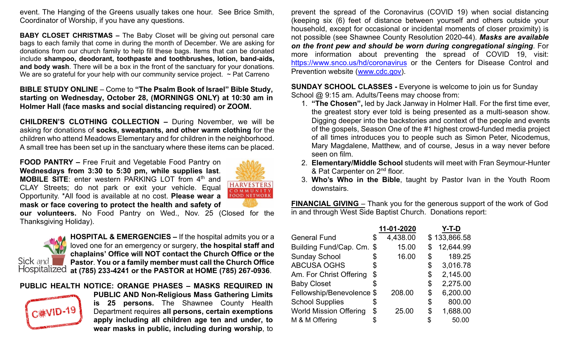event. The Hanging of the Greens usually takes one hour. See Brice Smith, Coordinator of Worship, if you have any questions.

**BABY CLOSET CHRISTMAS –** The Baby Closet will be giving out personal care bags to each family that come in during the month of December. We are asking for donations from our church family to help fill these bags. Items that can be donated include **shampoo, deodorant, toothpaste and toothbrushes, lotion, band-aids, and body wash**. There will be a box in the front of the sanctuary for your donations. We are so grateful for your help with our community service project.  $\sim$  Pat Carreno

#### **BIBLE STUDY ONLINE** – Come to **"The Psalm Book of Israel" Bible Study, starting on Wednesday, October 28, (MORNINGS ONLY) at 10:30 am in Holmer Hall (face masks and social distancing required) or ZOOM.**

**CHILDREN'S CLOTHING COLLECTION –** During November, we will be asking for donations of **socks, sweatpants, and other warm clothing** for the children who attend Meadows Elementary and for children in the neighborhood. A small tree has been set up in the sanctuary where these items can be placed.

**FOOD PANTRY –** Free Fruit and Vegetable Food Pantry on **Wednesdays from 3:30 to 5:30 pm, while supplies last**. **MOBILE SITE:** enter western PARKING LOT from 4<sup>th</sup> and CLAY Streets; do not park or exit your vehicle. Equal Opportunity. \*All food is available at no cost. **Please wear a mask or face covering to protect the health and safety of** 



**our volunteers.** No Food Pantry on Wed., Nov. 25 (Closed for the Thanksgiving Holiday).



**HOSPITAL & EMERGENCIES –** If the hospital admits you or a loved one for an emergency or surgery, **the hospital staff and chaplains' Office will NOT contact the Church Office or the Pastor**. **You or a family member must call the Church Office at (785) 233-4241 or the PASTOR at HOME (785) 267-0936**.

## **PUBLIC HEALTH NOTICE: ORANGE PHASES – MASKS REQUIRED IN**



**PUBLIC AND Non-Religious Mass Gathering Limits is 25 persons.** The Shawnee County Health Department requires **all persons, certain exemptions apply including all children age ten and under, to wear masks in public, including during worship**, to

prevent the spread of the Coronavirus (COVID 19) when social distancing (keeping six (6) feet of distance between yourself and others outside your household, except for occasional or incidental moments of closer proximity) is not possible (see Shawnee County Resolution 2020-44). *Masks are available on the front pew and should be worn during congregational singing*. For more information about preventing the spread of COVID 19, visit: <https://www.snco.us/hd/coronavirus> or the Centers for Disease Control and Prevention website [\(www.cdc.gov\)](http://www.cdc.gov/).

**SUNDAY SCHOOL CLASSES -** Everyone is welcome to join us for Sunday School @ 9:15 am. Adults/Teens may choose from:

- 1. **"The Chosen",** led by Jack Janway in Holmer Hall. For the first time ever, the greatest story ever told is being presented as a multi-season show. Digging deeper into the backstories and context of the people and events of the gospels, Season One of the #1 highest crowd-funded media project of all times introduces you to people such as Simon Peter, Nicodemus, Mary Magdalene, Matthew, and of course, Jesus in a way never before seen on film.
- 2. **Elementary/Middle School** students will meet with Fran Seymour-Hunter & Pat Carpenter on 2nd floor.
- 3. **Who's Who in the Bible**, taught by Pastor Ivan in the Youth Room downstairs.

**FINANCIAL GIVING** – Thank you for the generous support of the work of God in and through West Side Baptist Church. Donations report:

|                               | 11-01-2020     | Y-T-D           |  |
|-------------------------------|----------------|-----------------|--|
| General Fund                  | \$<br>4,438.00 | \$133,866.58    |  |
| Building Fund/Cap. Cm. \$     | 15.00          | \$<br>12,644.99 |  |
| <b>Sunday School</b>          | \$<br>16.00    | \$<br>189.25    |  |
| <b>ABCUSA OGHS</b>            | \$             | \$<br>3,016.78  |  |
| Am. For Christ Offering       | \$             | \$<br>2,145.00  |  |
| <b>Baby Closet</b>            |                | \$<br>2,275.00  |  |
| Fellowship/Benevolence \$     | 208.00         | \$<br>6,200.00  |  |
| <b>School Supplies</b>        | \$             | \$<br>800.00    |  |
| <b>World Mission Offering</b> | \$<br>25.00    | \$<br>1,688.00  |  |
| M & M Offering                |                | \$<br>50.00     |  |